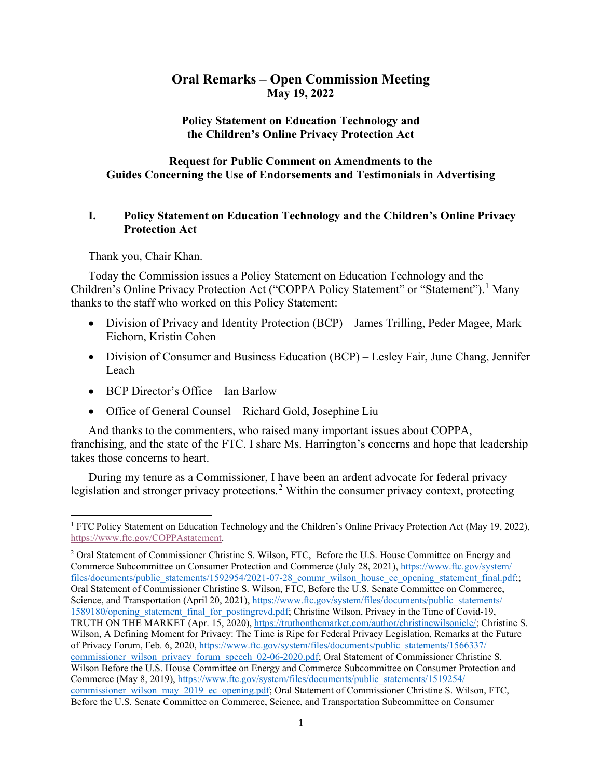# **Oral Remarks – Open Commission Meeting May 19, 2022**

**Policy Statement on Education Technology and the Children's Online Privacy Protection Act**

## **Request for Public Comment on Amendments to the Guides Concerning the Use of Endorsements and Testimonials in Advertising**

#### **I. Policy Statement on Education Technology and the Children's Online Privacy Protection Act**

Thank you, Chair Khan.

Today the Commission issues a Policy Statement on Education Technology and the Children's Online Privacy Protection Act ("COPPA Policy Statement" or "Statement").<sup>[1](#page-0-0)</sup> Many thanks to the staff who worked on this Policy Statement:

- Division of Privacy and Identity Protection (BCP) James Trilling, Peder Magee, Mark Eichorn, Kristin Cohen
- Division of Consumer and Business Education (BCP) Lesley Fair, June Chang, Jennifer Leach
- BCP Director's Office Ian Barlow
- Office of General Counsel Richard Gold, Josephine Liu

And thanks to the commenters, who raised many important issues about COPPA, franchising, and the state of the FTC. I share Ms. Harrington's concerns and hope that leadership takes those concerns to heart.

During my tenure as a Commissioner, I have been an ardent advocate for federal privacy legislation and stronger privacy protections.<sup>[2](#page-0-1)</sup> Within the consumer privacy context, protecting

<span id="page-0-0"></span><sup>1</sup> FTC Policy Statement on Education Technology and the Children's Online Privacy Protection Act (May 19, 2022), [https://www.ftc.gov/COPPAstatement.](https://www.ftc.gov/COPPAstatement)

<span id="page-0-1"></span><sup>&</sup>lt;sup>2</sup> Oral Statement of Commissioner Christine S. Wilson, FTC, Before the U.S. House Committee on Energy and Commerce Subcommittee on Consumer Protection and Commerce (July 28, 2021)[, https://www.ftc.gov/system/](https://www.ftc.gov/system/%E2%80%8Cfiles/documents/public_statements/1592954/2021-07-28_commr_wilson_house_ec_opening_statement_final.pdf) [files/documents/public\\_statements/1592954/2021-07-28\\_commr\\_wilson\\_house\\_ec\\_opening\\_statement\\_final.pdf;](https://www.ftc.gov/system/%E2%80%8Cfiles/documents/public_statements/1592954/2021-07-28_commr_wilson_house_ec_opening_statement_final.pdf) Oral Statement of Commissioner Christine S. Wilson, FTC, Before the U.S. Senate Committee on Commerce, Science, and Transportation (April 20, 2021)[, https://www.ftc.gov/system/files/documents/public\\_statements/](https://www.ftc.gov/system/files/documents/public_statements/1589180/opening_statement_final_for_postingrevd.pdf) [1589180/opening\\_statement\\_final\\_for\\_postingrevd.pdf;](https://www.ftc.gov/system/files/documents/public_statements/1589180/opening_statement_final_for_postingrevd.pdf) Christine Wilson, Privacy in the Time of Covid-19, TRUTH ON THE MARKET (Apr. 15, 2020)[, https://truthonthemarket.com/author/christinewilsonicle/;](https://truthonthemarket.com/author/christinewilsonicle/) Christine S. Wilson, A Defining Moment for Privacy: The Time is Ripe for Federal Privacy Legislation, Remarks at the Future of Privacy Forum, Feb. 6, 2020[, https://www.ftc.gov/system/files/documents/public\\_statements/1566337/](https://www.ftc.gov/system/files/documents/public_statements/1566337/commissioner_wilson_privacy_forum_speech_02-06-2020.pdf) [commissioner\\_wilson\\_privacy\\_forum\\_speech\\_02-06-2020.pdf;](https://www.ftc.gov/system/files/documents/public_statements/1566337/commissioner_wilson_privacy_forum_speech_02-06-2020.pdf) Oral Statement of Commissioner Christine S. Wilson Before the U.S. House Committee on Energy and Commerce Subcommittee on Consumer Protection and Commerce (May 8, 2019), [https://www.ftc.gov/system/files/documents/public\\_statements/1519254/](https://www.ftc.gov/system/files/documents/public_statements/1519254/commissioner_wilson_may_2019_ec_opening.pdf) [commissioner\\_wilson\\_may\\_2019\\_ec\\_opening.pdf;](https://www.ftc.gov/system/files/documents/public_statements/1519254/commissioner_wilson_may_2019_ec_opening.pdf) Oral Statement of Commissioner Christine S. Wilson, FTC, Before the U.S. Senate Committee on Commerce, Science, and Transportation Subcommittee on Consumer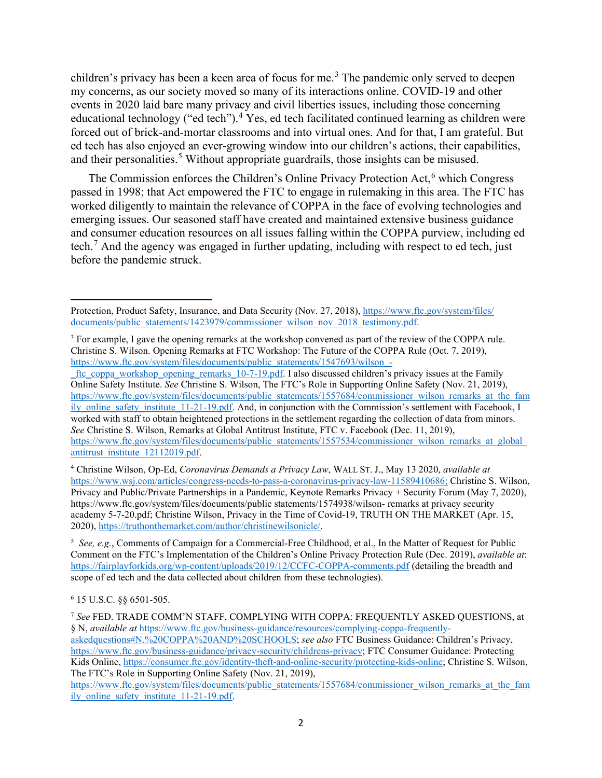children's privacy has been a keen area of focus for me.<sup>[3](#page-1-0)</sup> The pandemic only served to deepen my concerns, as our society moved so many of its interactions online. COVID-19 and other events in 2020 laid bare many privacy and civil liberties issues, including those concerning educational technology ("ed tech").<sup>[4](#page-1-1)</sup> Yes, ed tech facilitated continued learning as children were forced out of brick-and-mortar classrooms and into virtual ones. And for that, I am grateful. But ed tech has also enjoyed an ever-growing window into our children's actions, their capabilities, and their personalities. [5](#page-1-2) Without appropriate guardrails, those insights can be misused.

The Commission enforces the Children's Online Privacy Protection Act,<sup>[6](#page-1-3)</sup> which Congress passed in 1998; that Act empowered the FTC to engage in rulemaking in this area. The FTC has worked diligently to maintain the relevance of COPPA in the face of evolving technologies and emerging issues. Our seasoned staff have created and maintained extensive business guidance and consumer education resources on all issues falling within the COPPA purview, including ed tech.[7](#page-1-4) And the agency was engaged in further updating, including with respect to ed tech, just before the pandemic struck.

#### <span id="page-1-3"></span><sup>6</sup> 15 U.S.C. §§ 6501-505.

Protection, Product Safety, Insurance, and Data Security (Nov. 27, 2018), [https://www.ftc.gov/system/files/](https://www.ftc.gov/system/files/documents/public_statements/1423979/commissioner_wilson_nov_2018_testimony.pdf) [documents/public\\_statements/1423979/commissioner\\_wilson\\_nov\\_2018\\_testimony.pdf.](https://www.ftc.gov/system/files/documents/public_statements/1423979/commissioner_wilson_nov_2018_testimony.pdf)

<span id="page-1-0"></span><sup>3</sup> For example, I gave the opening remarks at the workshop convened as part of the review of the COPPA rule. Christine S. Wilson. Opening Remarks at FTC Workshop: The Future of the COPPA Rule (Oct. 7, 2019), [https://www.ftc.gov/system/files/documents/public\\_statements/1547693/wilson\\_-](https://www.ftc.gov/system/files/documents/public_statements/1547693/wilson_-_ftc_coppa_workshop_opening_remarks_10-7-19.pdf)

 $f$ tc\_coppa\_workshop\_opening\_remarks\_10-7-19.pdf. I also discussed children's privacy issues at the Family Online Safety Institute. *See* Christine S. Wilson, The FTC's Role in Supporting Online Safety (Nov. 21, 2019), [https://www.ftc.gov/system/files/documents/public\\_statements/1557684/commissioner\\_wilson\\_remarks\\_at\\_the\\_fam](https://www.ftc.gov/system/files/documents/public_statements/1557684/commissioner_wilson_remarks_at_the_family_online_safety_institute_11-21-19.pdf) ily online safety institute 11-21-19.pdf. And, in conjunction with the Commission's settlement with Facebook, I worked with staff to obtain heightened protections in the settlement regarding the collection of data from minors. *See* Christine S. Wilson, Remarks at Global Antitrust Institute, FTC v. Facebook (Dec. 11, 2019), [https://www.ftc.gov/system/files/documents/public\\_statements/1557534/commissioner\\_wilson\\_remarks\\_at\\_global\\_](https://www.ftc.gov/system/files/documents/public_statements/1557534/commissioner_wilson_remarks_at_global_antitrust_institute_12112019.pdf) antitrust institute 12112019.pdf.

<span id="page-1-1"></span><sup>4</sup> Christine Wilson, Op-Ed, *Coronavirus Demands a Privacy Law*, WALL ST. J., May 13 2020, *available at*  [https://www.wsj.com/articles/congress-needs-to-pass-a-coronavirus-privacy-law-11589410686;](https://www.wsj.com/articles/congress-needs-to-pass-a-coronavirus-privacy-law-11589410686) Christine S. Wilson, Privacy and Public/Private Partnerships in a Pandemic, Keynote Remarks Privacy + Security Forum (May 7, 2020), https://www.ftc.gov/system/files/documents/public statements/1574938/wilson- remarks at privacy security academy 5-7-20.pdf; Christine Wilson, Privacy in the Time of Covid-19, TRUTH ON THE MARKET (Apr. 15, 2020), [https://truthonthemarket.com/author/christinewilsonicle/.](https://truthonthemarket.com/author/christinewilsonicle/)

<span id="page-1-2"></span><sup>5</sup> *See, e.g.*, Comments of Campaign for a Commercial-Free Childhood, et al., In the Matter of Request for Public Comment on the FTC's Implementation of the Children's Online Privacy Protection Rule (Dec. 2019), *available at*: <https://fairplayforkids.org/wp-content/uploads/2019/12/CCFC-COPPA-comments.pdf> (detailing the breadth and scope of ed tech and the data collected about children from these technologies).

<span id="page-1-4"></span><sup>7</sup> *See* FED. TRADE COMM'N STAFF, COMPLYING WITH COPPA: FREQUENTLY ASKED QUESTIONS, at § N, *available at* [https://www.ftc.gov/business-guidance/resources/complying-coppa-frequently](https://www.ftc.gov/business-guidance/resources/complying-coppa-frequently-askedquestions#N.%20COPPA%20AND%20SCHOOLS)[askedquestions#N.%20COPPA%20AND%20SCHOOLS;](https://www.ftc.gov/business-guidance/resources/complying-coppa-frequently-askedquestions#N.%20COPPA%20AND%20SCHOOLS) *see also* FTC Business Guidance: Children's Privacy, [https://www.ftc.gov/business-guidance/privacy-security/childrens-privacy;](https://www.ftc.gov/business-guidance/privacy-security/childrens-privacy) FTC Consumer Guidance: Protecting Kids Online[, https://consumer.ftc.gov/identity-theft-and-online-security/protecting-kids-online;](https://consumer.ftc.gov/identity-theft-and-online-security/protecting-kids-online) Christine S. Wilson, The FTC's Role in Supporting Online Safety (Nov. 21, 2019),

[https://www.ftc.gov/system/files/documents/public\\_statements/1557684/commissioner\\_wilson\\_remarks\\_at\\_the\\_fam](https://www.ftc.gov/system/files/documents/public_statements/1557684/commissioner_wilson_remarks_at_the_family_online_safety_institute_11-21-19.pdf) ily online safety institute 11-21-19.pdf.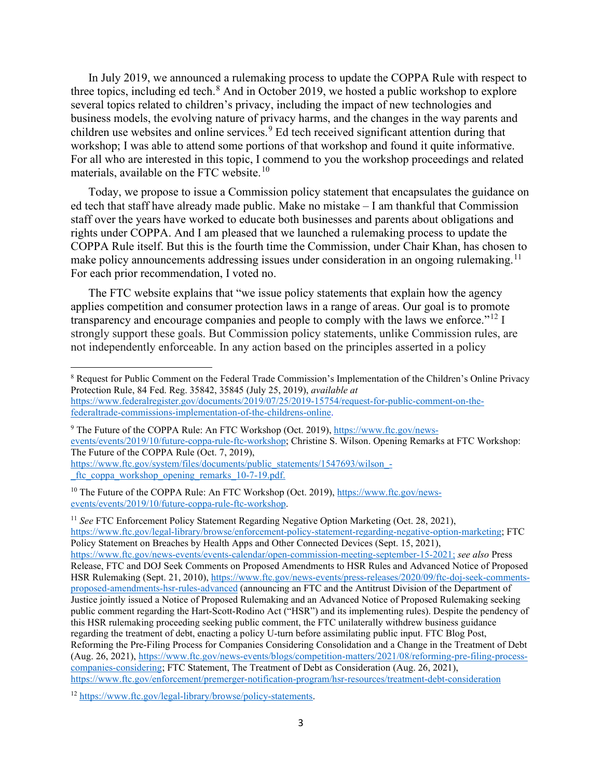In July 2019, we announced a rulemaking process to update the COPPA Rule with respect to three topics, including ed tech.<sup>[8](#page-2-0)</sup> And in October 2019, we hosted a public workshop to explore several topics related to children's privacy, including the impact of new technologies and business models, the evolving nature of privacy harms, and the changes in the way parents and children use websites and online services.<sup>[9](#page-2-1)</sup> Ed tech received significant attention during that workshop; I was able to attend some portions of that workshop and found it quite informative. For all who are interested in this topic, I commend to you the workshop proceedings and related materials, available on the FTC website.<sup>[10](#page-2-2)</sup>

Today, we propose to issue a Commission policy statement that encapsulates the guidance on ed tech that staff have already made public. Make no mistake – I am thankful that Commission staff over the years have worked to educate both businesses and parents about obligations and rights under COPPA. And I am pleased that we launched a rulemaking process to update the COPPA Rule itself. But this is the fourth time the Commission, under Chair Khan, has chosen to make policy announcements addressing issues under consideration in an ongoing rulemaking.<sup>[11](#page-2-3)</sup> For each prior recommendation, I voted no.

The FTC website explains that "we issue policy statements that explain how the agency applies competition and consumer protection laws in a range of areas. Our goal is to promote transparency and encourage companies and people to comply with the laws we enforce."<sup>[12](#page-2-4)</sup> I strongly support these goals. But Commission policy statements, unlike Commission rules, are not independently enforceable. In any action based on the principles asserted in a policy

<span id="page-2-1"></span><sup>9</sup> The Future of the COPPA Rule: An FTC Workshop (Oct. 2019)[, https://www.ftc.gov/news](https://www.ftc.gov/news-events/events/2019/10/future-coppa-rule-ftc-workshop)[events/events/2019/10/future-coppa-rule-ftc-workshop;](https://www.ftc.gov/news-events/events/2019/10/future-coppa-rule-ftc-workshop) Christine S. Wilson. Opening Remarks at FTC Workshop: The Future of the COPPA Rule (Oct. 7, 2019),

[https://www.ftc.gov/system/files/documents/public\\_statements/1547693/wilson\\_](https://www.ftc.gov/system/files/documents/public_statements/1547693/wilson_-_ftc_coppa_workshop_opening_remarks_10-7-19.pdf) ftc coppa workshop opening remarks 10-7-19.pdf.

<span id="page-2-2"></span><sup>10</sup> The Future of the COPPA Rule: An FTC Workshop (Oct. 2019), [https://www.ftc.gov/news](https://www.ftc.gov/news-events/events/2019/10/future-coppa-rule-ftc-workshop)[events/events/2019/10/future-coppa-rule-ftc-workshop.](https://www.ftc.gov/news-events/events/2019/10/future-coppa-rule-ftc-workshop)

<span id="page-2-3"></span><sup>11</sup> *See* FTC Enforcement Policy Statement Regarding Negative Option Marketing (Oct. 28, 2021), [https://www.ftc.gov/legal-library/browse/enforcement-policy-statement-regarding-negative-option-marketing;](https://www.ftc.gov/legal-library/browse/enforcement-policy-statement-regarding-negative-option-marketing) FTC Policy Statement on Breaches by Health Apps and Other Connected Devices (Sept. 15, 2021), [https://www.ftc.gov/news-events/events-calendar/open-commission-meeting-september-15-2021;](https://www.ftc.gov/news-events/events-calendar/open-commission-meeting-september-15-2021) *see also* Press Release, FTC and DOJ Seek Comments on Proposed Amendments to HSR Rules and Advanced Notice of Proposed HSR Rulemaking (Sept. 21, 2010), [https://www.ftc.gov/news-events/press-releases/2020/09/ftc-doj-seek-comments](https://www.ftc.gov/news-events/press-releases/2020/09/ftc-doj-seek-comments-proposed-amendments-hsr-rules-advanced)[proposed-amendments-hsr-rules-advanced](https://www.ftc.gov/news-events/press-releases/2020/09/ftc-doj-seek-comments-proposed-amendments-hsr-rules-advanced) (announcing an FTC and the Antitrust Division of the Department of Justice jointly issued a Notice of Proposed Rulemaking and an Advanced Notice of Proposed Rulemaking seeking public comment regarding the Hart-Scott-Rodino Act ("HSR") and its implementing rules). Despite the pendency of this HSR rulemaking proceeding seeking public comment, the FTC unilaterally withdrew business guidance regarding the treatment of debt, enacting a policy U-turn before assimilating public input. FTC Blog Post, Reforming the Pre-Filing Process for Companies Considering Consolidation and a Change in the Treatment of Debt (Aug. 26, 2021), [https://www.ftc.gov/news-events/blogs/competition-matters/2021/08/reforming-pre-filing-process](https://www.ftc.gov/news-events/blogs/competition-matters/2021/08/reforming-pre-filing-process-companies-considering)[companies-considering;](https://www.ftc.gov/news-events/blogs/competition-matters/2021/08/reforming-pre-filing-process-companies-considering) FTC Statement, The Treatment of Debt as Consideration (Aug. 26, 2021), <https://www.ftc.gov/enforcement/premerger-notification-program/hsr-resources/treatment-debt-consideration>

<span id="page-2-4"></span><sup>12</sup> [https://www.ftc.gov/legal-library/browse/policy-statements.](https://www.ftc.gov/legal-library/browse/policy-statements)

<span id="page-2-0"></span><sup>&</sup>lt;sup>8</sup> Request for Public Comment on the Federal Trade Commission's Implementation of the Children's Online Privacy Protection Rule, 84 Fed. Reg. 35842, 35845 (July 25, 2019), *available at*  [https://www.federalregister.gov/documents/2019/07/25/2019-15754/request-for-public-comment-on-the](https://www.federalregister.gov/documents/2019/07/25/2019-15754/request-for-public-comment-on-the-federaltrade-commissions-implementation-of-the-childrens-online)[federaltrade-commissions-implementation-of-the-childrens-online.](https://www.federalregister.gov/documents/2019/07/25/2019-15754/request-for-public-comment-on-the-federaltrade-commissions-implementation-of-the-childrens-online)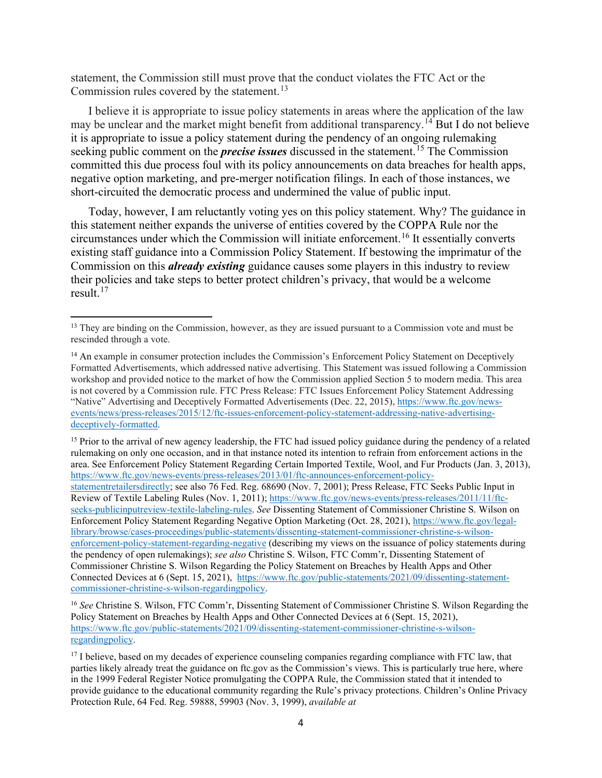statement, the Commission still must prove that the conduct violates the FTC Act or the Commission rules covered by the statement.<sup>[13](#page-3-0)</sup>

I believe it is appropriate to issue policy statements in areas where the application of the law may be unclear and the market might benefit from additional transparency.<sup>[14](#page-3-1)</sup> But I do not believe it is appropriate to issue a policy statement during the pendency of an ongoing rulemaking seeking public comment on the *precise issues* discussed in the statement.<sup>[15](#page-3-2)</sup> The Commission committed this due process foul with its policy announcements on data breaches for health apps, negative option marketing, and pre-merger notification filings. In each of those instances, we short-circuited the democratic process and undermined the value of public input.

Today, however, I am reluctantly voting yes on this policy statement. Why? The guidance in this statement neither expands the universe of entities covered by the COPPA Rule nor the circumstances under which the Commission will initiate enforcement.[16](#page-3-3) It essentially converts existing staff guidance into a Commission Policy Statement. If bestowing the imprimatur of the Commission on this *already existing* guidance causes some players in this industry to review their policies and take steps to better protect children's privacy, that would be a welcome result. $17$ 

<span id="page-3-2"></span><sup>15</sup> Prior to the arrival of new agency leadership, the FTC had issued policy guidance during the pendency of a related rulemaking on only one occasion, and in that instance noted its intention to refrain from enforcement actions in the area. See Enforcement Policy Statement Regarding Certain Imported Textile, Wool, and Fur Products (Jan. 3, 2013), [https://www.ftc.gov/news-events/press-releases/2013/01/ftc-announces-enforcement-policy](https://www.ftc.gov/news-events/press-releases/2013/01/ftc-announces-enforcement-policy-statementretailersdirectly)[statementretailersdirectly;](https://www.ftc.gov/news-events/press-releases/2013/01/ftc-announces-enforcement-policy-statementretailersdirectly) see also 76 Fed. Reg. 68690 (Nov. 7, 2001); Press Release, FTC Seeks Public Input in Review of Textile Labeling Rules (Nov. 1, 2011); [https://www.ftc.gov/news-events/press-releases/2011/11/ftc](https://www.ftc.gov/news-events/press-releases/2011/11/ftc-seeks-publicinputreview-textile-labeling-rules)[seeks-publicinputreview-textile-labeling-rules.](https://www.ftc.gov/news-events/press-releases/2011/11/ftc-seeks-publicinputreview-textile-labeling-rules) *See* Dissenting Statement of Commissioner Christine S. Wilson on Enforcement Policy Statement Regarding Negative Option Marketing (Oct. 28, 2021), [https://www.ftc.gov/legal](https://www.ftc.gov/legal-library/browse/cases-proceedings/public-statements/dissenting-statement-commissioner-christine-s-wilson-enforcement-policy-statement-regarding-negative)[library/browse/cases-proceedings/public-statements/dissenting-statement-commissioner-christine-s-wilson](https://www.ftc.gov/legal-library/browse/cases-proceedings/public-statements/dissenting-statement-commissioner-christine-s-wilson-enforcement-policy-statement-regarding-negative)[enforcement-policy-statement-regarding-negative](https://www.ftc.gov/legal-library/browse/cases-proceedings/public-statements/dissenting-statement-commissioner-christine-s-wilson-enforcement-policy-statement-regarding-negative) (describing my views on the issuance of policy statements during the pendency of open rulemakings); *see also* Christine S. Wilson, FTC Comm'r, Dissenting Statement of Commissioner Christine S. Wilson Regarding the Policy Statement on Breaches by Health Apps and Other Connected Devices at 6 (Sept. 15, 2021), [https://www.ftc.gov/public-statements/2021/09/dissenting-statement](https://www.ftc.gov/public-statements/2021/09/dissenting-statement-commissioner-christine-s-wilson-regardingpolicy)[commissioner-christine-s-wilson-regardingpolicy.](https://www.ftc.gov/public-statements/2021/09/dissenting-statement-commissioner-christine-s-wilson-regardingpolicy)

<span id="page-3-3"></span><sup>16</sup> *See* Christine S. Wilson, FTC Comm'r, Dissenting Statement of Commissioner Christine S. Wilson Regarding the Policy Statement on Breaches by Health Apps and Other Connected Devices at 6 (Sept. 15, 2021), [https://www.ftc.gov/public-statements/2021/09/dissenting-statement-commissioner-christine-s-wilson](https://www.ftc.gov/public-statements/2021/09/dissenting-statement-commissioner-christine-s-wilson-regardingpolicy)[regardingpolicy.](https://www.ftc.gov/public-statements/2021/09/dissenting-statement-commissioner-christine-s-wilson-regardingpolicy) 

<span id="page-3-4"></span><sup>17</sup> I believe, based on my decades of experience counseling companies regarding compliance with FTC law, that parties likely already treat the guidance on ftc.gov as the Commission's views. This is particularly true here, where in the 1999 Federal Register Notice promulgating the COPPA Rule, the Commission stated that it intended to provide guidance to the educational community regarding the Rule's privacy protections. Children's Online Privacy Protection Rule, 64 Fed. Reg. 59888, 59903 (Nov. 3, 1999), *available at* 

<span id="page-3-0"></span><sup>&</sup>lt;sup>13</sup> They are binding on the Commission, however, as they are issued pursuant to a Commission vote and must be rescinded through a vote.

<span id="page-3-1"></span><sup>&</sup>lt;sup>14</sup> An example in consumer protection includes the Commission's Enforcement Policy Statement on Deceptively Formatted Advertisements, which addressed native advertising. This Statement was issued following a Commission workshop and provided notice to the market of how the Commission applied Section 5 to modern media. This area is not covered by a Commission rule. FTC Press Release: FTC Issues Enforcement Policy Statement Addressing "Native" Advertising and Deceptively Formatted Advertisements (Dec. 22, 2015), [https://www.ftc.gov/news](https://www.ftc.gov/news-events/news/press-releases/2015/12/ftc-issues-enforcement-policy-statement-addressing-native-advertising-deceptively-formatted)[events/news/press-releases/2015/12/ftc-issues-enforcement-policy-statement-addressing-native-advertising](https://www.ftc.gov/news-events/news/press-releases/2015/12/ftc-issues-enforcement-policy-statement-addressing-native-advertising-deceptively-formatted)[deceptively-formatted.](https://www.ftc.gov/news-events/news/press-releases/2015/12/ftc-issues-enforcement-policy-statement-addressing-native-advertising-deceptively-formatted)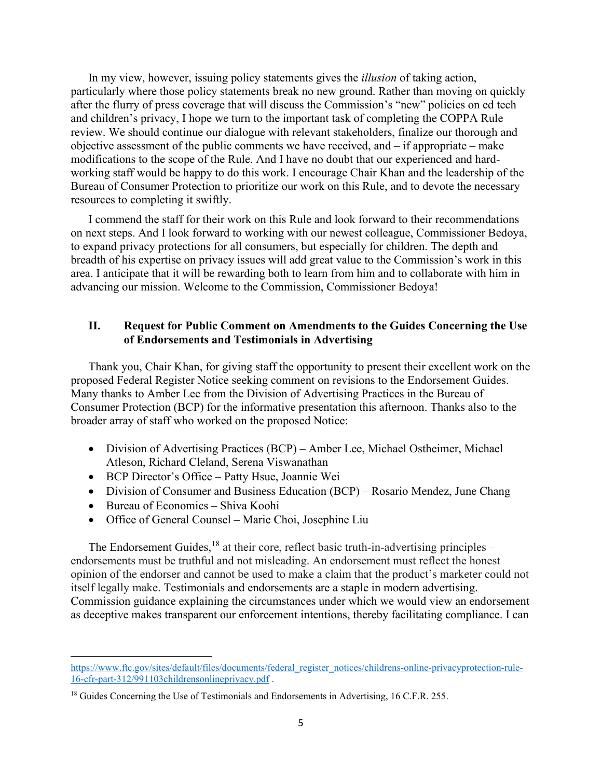In my view, however, issuing policy statements gives the *illusion* of taking action, particularly where those policy statements break no new ground. Rather than moving on quickly after the flurry of press coverage that will discuss the Commission's "new" policies on ed tech and children's privacy, I hope we turn to the important task of completing the COPPA Rule review. We should continue our dialogue with relevant stakeholders, finalize our thorough and objective assessment of the public comments we have received, and – if appropriate – make modifications to the scope of the Rule. And I have no doubt that our experienced and hardworking staff would be happy to do this work. I encourage Chair Khan and the leadership of the Bureau of Consumer Protection to prioritize our work on this Rule, and to devote the necessary resources to completing it swiftly.

I commend the staff for their work on this Rule and look forward to their recommendations on next steps. And I look forward to working with our newest colleague, Commissioner Bedoya, to expand privacy protections for all consumers, but especially for children. The depth and breadth of his expertise on privacy issues will add great value to the Commission's work in this area. I anticipate that it will be rewarding both to learn from him and to collaborate with him in advancing our mission. Welcome to the Commission, Commissioner Bedoya!

### **II. Request for Public Comment on Amendments to the Guides Concerning the Use of Endorsements and Testimonials in Advertising**

Thank you, Chair Khan, for giving staff the opportunity to present their excellent work on the proposed Federal Register Notice seeking comment on revisions to the Endorsement Guides. Many thanks to Amber Lee from the Division of Advertising Practices in the Bureau of Consumer Protection (BCP) for the informative presentation this afternoon. Thanks also to the broader array of staff who worked on the proposed Notice:

- Division of Advertising Practices (BCP) Amber Lee, Michael Ostheimer, Michael Atleson, Richard Cleland, Serena Viswanathan
- BCP Director's Office Patty Hsue, Joannie Wei
- Division of Consumer and Business Education (BCP) Rosario Mendez, June Chang
- Bureau of Economics Shiva Koohi
- Office of General Counsel Marie Choi, Josephine Liu

The Endorsement Guides,  $^{18}$  $^{18}$  $^{18}$  at their core, reflect basic truth-in-advertising principles – endorsements must be truthful and not misleading. An endorsement must reflect the honest opinion of the endorser and cannot be used to make a claim that the product's marketer could not itself legally make. Testimonials and endorsements are a staple in modern advertising. Commission guidance explaining the circumstances under which we would view an endorsement as deceptive makes transparent our enforcement intentions, thereby facilitating compliance. I can

[https://www.ftc.gov/sites/default/files/documents/federal\\_register\\_notices/childrens-online-privacyprotection-rule-](https://www.ftc.gov/sites/default/files/documents/federal_register_notices/childrens-online-privacyprotection-rule-16-cfr-part-312/991103childrensonlineprivacy.pdf)[16-cfr-part-312/991103childrensonlineprivacy.pdf](https://www.ftc.gov/sites/default/files/documents/federal_register_notices/childrens-online-privacyprotection-rule-16-cfr-part-312/991103childrensonlineprivacy.pdf) .

<span id="page-4-0"></span><sup>&</sup>lt;sup>18</sup> Guides Concerning the Use of Testimonials and Endorsements in Advertising, 16 C.F.R. 255.